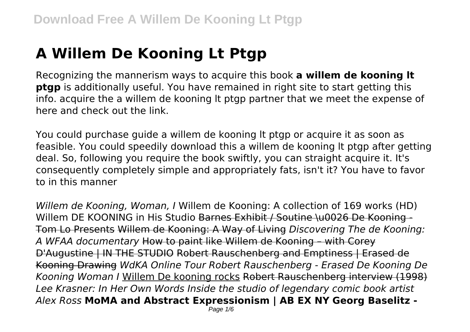## **A Willem De Kooning Lt Ptgp**

Recognizing the mannerism ways to acquire this book **a willem de kooning lt ptgp** is additionally useful. You have remained in right site to start getting this info. acquire the a willem de kooning lt ptgp partner that we meet the expense of here and check out the link.

You could purchase guide a willem de kooning lt ptgp or acquire it as soon as feasible. You could speedily download this a willem de kooning lt ptgp after getting deal. So, following you require the book swiftly, you can straight acquire it. It's consequently completely simple and appropriately fats, isn't it? You have to favor to in this manner

*Willem de Kooning, Woman, I* Willem de Kooning: A collection of 169 works (HD) Willem DE KOONING in His Studio Barnes Exhibit / Soutine \u0026 De Kooning -Tom Lo Presents Willem de Kooning: A Way of Living *Discovering The de Kooning: A WFAA documentary* How to paint like Willem de Kooning – with Corey D'Augustine | IN THE STUDIO Robert Rauschenberg and Emptiness | Erased de Kooning Drawing *WdKA Online Tour Robert Rauschenberg - Erased De Kooning De Kooning Woman I* Willem De kooning rocks Robert Rauschenberg interview (1998) *Lee Krasner: In Her Own Words Inside the studio of legendary comic book artist Alex Ross* **MoMA and Abstract Expressionism | AB EX NY Georg Baselitz -**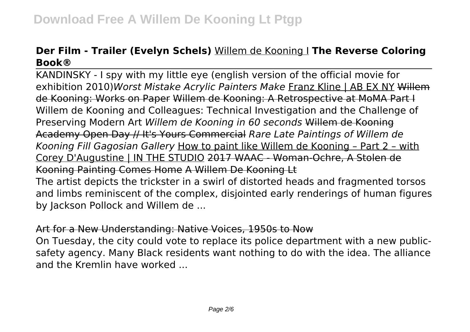## **Der Film - Trailer (Evelyn Schels)** Willem de Kooning I **The Reverse Coloring Book®**

KANDINSKY - I spy with my little eye (english version of the official movie for exhibition 2010)*Worst Mistake Acrylic Painters Make* Franz Kline | AB EX NY Willem de Kooning: Works on Paper Willem de Kooning: A Retrospective at MoMA Part I Willem de Kooning and Colleagues: Technical Investigation and the Challenge of Preserving Modern Art *Willem de Kooning in 60 seconds* Willem de Kooning Academy Open Day // It's Yours Commercial *Rare Late Paintings of Willem de Kooning Fill Gagosian Gallery* How to paint like Willem de Kooning – Part 2 – with Corey D'Augustine | IN THE STUDIO 2017 WAAC - Woman-Ochre, A Stolen de Kooning Painting Comes Home A Willem De Kooning Lt The artist depicts the trickster in a swirl of distorted heads and fragmented torsos and limbs reminiscent of the complex, disjointed early renderings of human figures

by Jackson Pollock and Willem de ...

## Art for a New Understanding: Native Voices, 1950s to Now

On Tuesday, the city could vote to replace its police department with a new publicsafety agency. Many Black residents want nothing to do with the idea. The alliance and the Kremlin have worked ...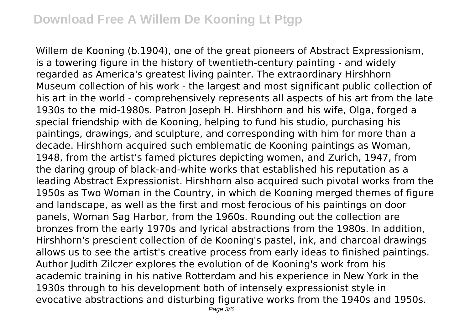Willem de Kooning (b.1904), one of the great pioneers of Abstract Expressionism, is a towering figure in the history of twentieth-century painting - and widely regarded as America's greatest living painter. The extraordinary Hirshhorn Museum collection of his work - the largest and most significant public collection of his art in the world - comprehensively represents all aspects of his art from the late 1930s to the mid-1980s. Patron Joseph H. Hirshhorn and his wife, Olga, forged a special friendship with de Kooning, helping to fund his studio, purchasing his paintings, drawings, and sculpture, and corresponding with him for more than a decade. Hirshhorn acquired such emblematic de Kooning paintings as Woman, 1948, from the artist's famed pictures depicting women, and Zurich, 1947, from the daring group of black-and-white works that established his reputation as a leading Abstract Expressionist. Hirshhorn also acquired such pivotal works from the 1950s as Two Woman in the Country, in which de Kooning merged themes of figure and landscape, as well as the first and most ferocious of his paintings on door panels, Woman Sag Harbor, from the 1960s. Rounding out the collection are bronzes from the early 1970s and lyrical abstractions from the 1980s. In addition, Hirshhorn's prescient collection of de Kooning's pastel, ink, and charcoal drawings allows us to see the artist's creative process from early ideas to finished paintings. Author Judith Zilczer explores the evolution of de Kooning's work from his academic training in his native Rotterdam and his experience in New York in the 1930s through to his development both of intensely expressionist style in evocative abstractions and disturbing figurative works from the 1940s and 1950s.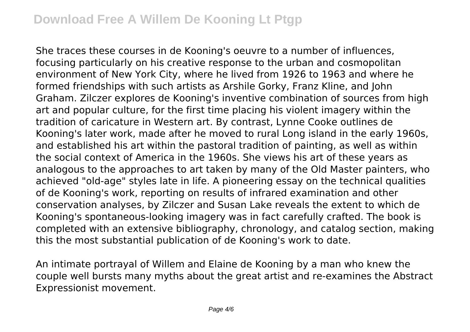She traces these courses in de Kooning's oeuvre to a number of influences, focusing particularly on his creative response to the urban and cosmopolitan environment of New York City, where he lived from 1926 to 1963 and where he formed friendships with such artists as Arshile Gorky, Franz Kline, and John Graham. Zilczer explores de Kooning's inventive combination of sources from high art and popular culture, for the first time placing his violent imagery within the tradition of caricature in Western art. By contrast, Lynne Cooke outlines de Kooning's later work, made after he moved to rural Long island in the early 1960s, and established his art within the pastoral tradition of painting, as well as within the social context of America in the 1960s. She views his art of these years as analogous to the approaches to art taken by many of the Old Master painters, who achieved "old-age" styles late in life. A pioneering essay on the technical qualities of de Kooning's work, reporting on results of infrared examination and other conservation analyses, by Zilczer and Susan Lake reveals the extent to which de Kooning's spontaneous-looking imagery was in fact carefully crafted. The book is completed with an extensive bibliography, chronology, and catalog section, making this the most substantial publication of de Kooning's work to date.

An intimate portrayal of Willem and Elaine de Kooning by a man who knew the couple well bursts many myths about the great artist and re-examines the Abstract Expressionist movement.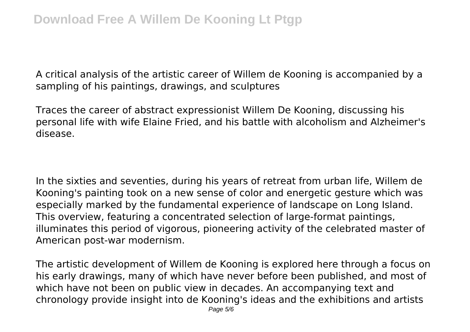A critical analysis of the artistic career of Willem de Kooning is accompanied by a sampling of his paintings, drawings, and sculptures

Traces the career of abstract expressionist Willem De Kooning, discussing his personal life with wife Elaine Fried, and his battle with alcoholism and Alzheimer's disease.

In the sixties and seventies, during his years of retreat from urban life, Willem de Kooning's painting took on a new sense of color and energetic gesture which was especially marked by the fundamental experience of landscape on Long Island. This overview, featuring a concentrated selection of large-format paintings, illuminates this period of vigorous, pioneering activity of the celebrated master of American post-war modernism.

The artistic development of Willem de Kooning is explored here through a focus on his early drawings, many of which have never before been published, and most of which have not been on public view in decades. An accompanying text and chronology provide insight into de Kooning's ideas and the exhibitions and artists